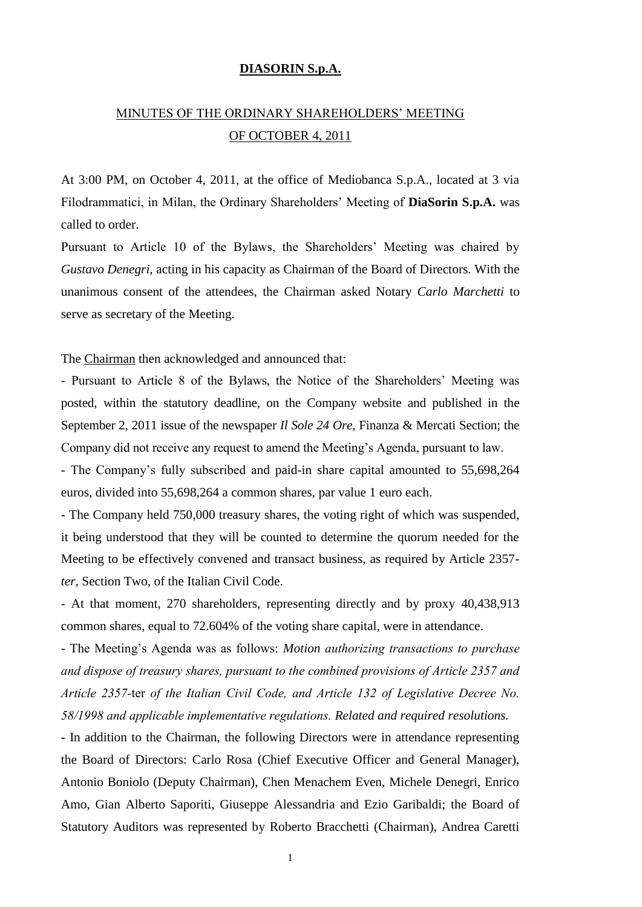## **DIASORIN S.p.A.**

## MINUTES OF THE ORDINARY SHAREHOLDERS' MEETING OF OCTOBER 4, 2011

At 3:00 PM, on October 4, 2011, at the office of Mediobanca S.p.A., located at 3 via Filodrammatici, in Milan, the Ordinary Shareholders' Meeting of **DiaSorin S.p.A.** was called to order.

Pursuant to Article 10 of the Bylaws, the Shareholders' Meeting was chaired by *Gustavo Denegri,* acting in his capacity as Chairman of the Board of Directors. With the unanimous consent of the attendees, the Chairman asked Notary *Carlo Marchetti* to serve as secretary of the Meeting.

The Chairman then acknowledged and announced that:

- Pursuant to Article 8 of the Bylaws, the Notice of the Shareholders' Meeting was posted, within the statutory deadline, on the Company website and published in the September 2, 2011 issue of the newspaper *Il Sole 24 Ore,* Finanza & Mercati Section; the Company did not receive any request to amend the Meeting's Agenda, pursuant to law.

- The Company's fully subscribed and paid-in share capital amounted to 55,698,264 euros, divided into 55,698,264 a common shares, par value 1 euro each.

- The Company held 750,000 treasury shares, the voting right of which was suspended, it being understood that they will be counted to determine the quorum needed for the Meeting to be effectively convened and transact business, as required by Article 2357 *ter,* Section Two, of the Italian Civil Code.

- At that moment, 270 shareholders, representing directly and by proxy 40,438,913 common shares, equal to 72.604% of the voting share capital, were in attendance.

- The Meeting's Agenda was as follows: *Motion authorizing transactions to purchase and dispose of treasury shares, pursuant to the combined provisions of Article 2357 and Article 2357-*ter *of the Italian Civil Code, and Article 132 of Legislative Decree No. 58/1998 and applicable implementative regulations. Related and required resolutions.*

**-** In addition to the Chairman, the following Directors were in attendance representing the Board of Directors: Carlo Rosa (Chief Executive Officer and General Manager), Antonio Boniolo (Deputy Chairman), Chen Menachem Even, Michele Denegri, Enrico Amo, Gian Alberto Saporiti, Giuseppe Alessandria and Ezio Garibaldi; the Board of Statutory Auditors was represented by Roberto Bracchetti (Chairman), Andrea Caretti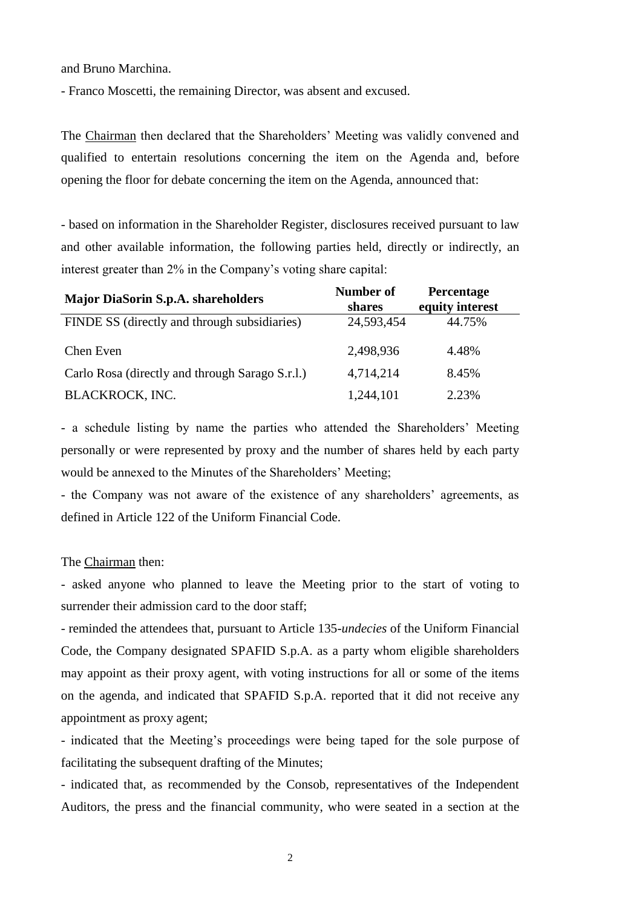and Bruno Marchina.

- Franco Moscetti, the remaining Director, was absent and excused.

The Chairman then declared that the Shareholders' Meeting was validly convened and qualified to entertain resolutions concerning the item on the Agenda and, before opening the floor for debate concerning the item on the Agenda, announced that:

- based on information in the Shareholder Register, disclosures received pursuant to law and other available information, the following parties held, directly or indirectly, an interest greater than 2% in the Company's voting share capital:

| <b>Major DiaSorin S.p.A. shareholders</b>       | Number of<br>shares | <b>Percentage</b><br>equity interest |  |
|-------------------------------------------------|---------------------|--------------------------------------|--|
| FINDE SS (directly and through subsidiaries)    | 24,593,454          | 44.75%                               |  |
| Chen Even                                       | 2,498,936           | 4.48%                                |  |
| Carlo Rosa (directly and through Sarago S.r.l.) | 4,714,214           | 8.45%                                |  |
| BLACKROCK, INC.                                 | 1,244,101           | 2.23%                                |  |

- a schedule listing by name the parties who attended the Shareholders' Meeting personally or were represented by proxy and the number of shares held by each party would be annexed to the Minutes of the Shareholders' Meeting;

- the Company was not aware of the existence of any shareholders' agreements, as defined in Article 122 of the Uniform Financial Code.

The Chairman then:

- asked anyone who planned to leave the Meeting prior to the start of voting to surrender their admission card to the door staff;

- reminded the attendees that, pursuant to Article 135-*undecies* of the Uniform Financial Code, the Company designated SPAFID S.p.A. as a party whom eligible shareholders may appoint as their proxy agent, with voting instructions for all or some of the items on the agenda, and indicated that SPAFID S.p.A. reported that it did not receive any appointment as proxy agent;

- indicated that the Meeting's proceedings were being taped for the sole purpose of facilitating the subsequent drafting of the Minutes:

- indicated that, as recommended by the Consob, representatives of the Independent Auditors, the press and the financial community, who were seated in a section at the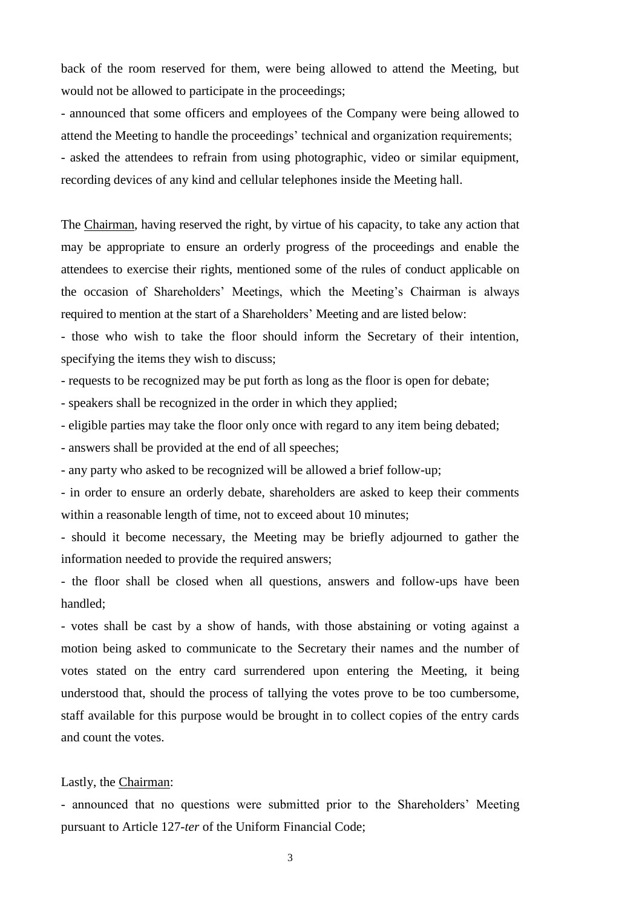back of the room reserved for them, were being allowed to attend the Meeting, but would not be allowed to participate in the proceedings;

- announced that some officers and employees of the Company were being allowed to attend the Meeting to handle the proceedings' technical and organization requirements; - asked the attendees to refrain from using photographic, video or similar equipment,

recording devices of any kind and cellular telephones inside the Meeting hall.

The Chairman, having reserved the right, by virtue of his capacity, to take any action that may be appropriate to ensure an orderly progress of the proceedings and enable the attendees to exercise their rights, mentioned some of the rules of conduct applicable on the occasion of Shareholders' Meetings, which the Meeting's Chairman is always required to mention at the start of a Shareholders' Meeting and are listed below:

- those who wish to take the floor should inform the Secretary of their intention, specifying the items they wish to discuss;

- requests to be recognized may be put forth as long as the floor is open for debate;

- speakers shall be recognized in the order in which they applied;

- eligible parties may take the floor only once with regard to any item being debated;

- answers shall be provided at the end of all speeches;

- any party who asked to be recognized will be allowed a brief follow-up;

- in order to ensure an orderly debate, shareholders are asked to keep their comments within a reasonable length of time, not to exceed about 10 minutes;

- should it become necessary, the Meeting may be briefly adjourned to gather the information needed to provide the required answers;

- the floor shall be closed when all questions, answers and follow-ups have been handled;

- votes shall be cast by a show of hands, with those abstaining or voting against a motion being asked to communicate to the Secretary their names and the number of votes stated on the entry card surrendered upon entering the Meeting, it being understood that, should the process of tallying the votes prove to be too cumbersome, staff available for this purpose would be brought in to collect copies of the entry cards and count the votes.

## Lastly, the Chairman:

- announced that no questions were submitted prior to the Shareholders' Meeting pursuant to Article 127-*ter* of the Uniform Financial Code;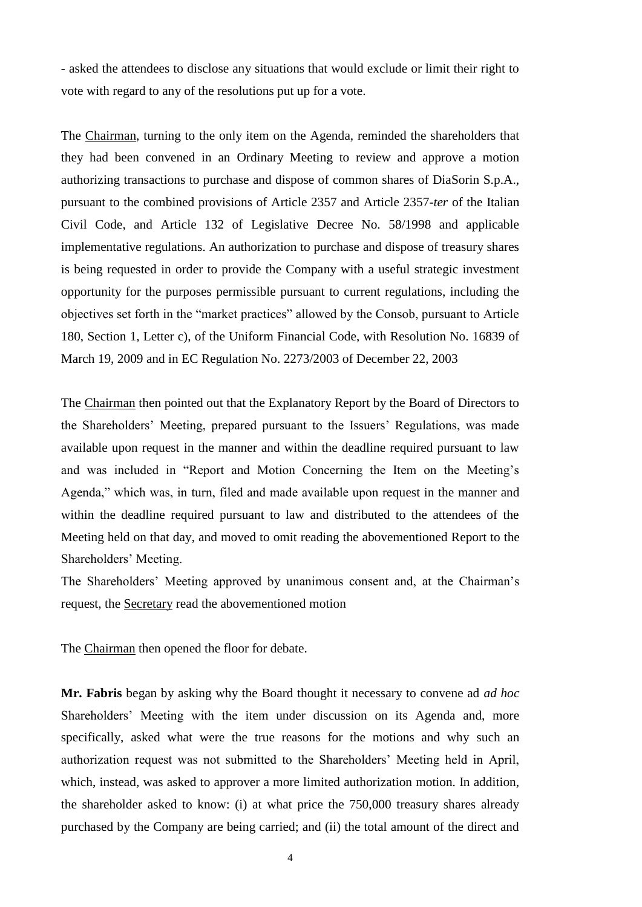- asked the attendees to disclose any situations that would exclude or limit their right to vote with regard to any of the resolutions put up for a vote.

The Chairman, turning to the only item on the Agenda, reminded the shareholders that they had been convened in an Ordinary Meeting to review and approve a motion authorizing transactions to purchase and dispose of common shares of DiaSorin S.p.A., pursuant to the combined provisions of Article 2357 and Article 2357-*ter* of the Italian Civil Code, and Article 132 of Legislative Decree No. 58/1998 and applicable implementative regulations. An authorization to purchase and dispose of treasury shares is being requested in order to provide the Company with a useful strategic investment opportunity for the purposes permissible pursuant to current regulations, including the objectives set forth in the "market practices" allowed by the Consob, pursuant to Article 180, Section 1, Letter c), of the Uniform Financial Code, with Resolution No. 16839 of March 19, 2009 and in EC Regulation No. 2273/2003 of December 22, 2003

The Chairman then pointed out that the Explanatory Report by the Board of Directors to the Shareholders' Meeting, prepared pursuant to the Issuers' Regulations, was made available upon request in the manner and within the deadline required pursuant to law and was included in "Report and Motion Concerning the Item on the Meeting's Agenda," which was, in turn, filed and made available upon request in the manner and within the deadline required pursuant to law and distributed to the attendees of the Meeting held on that day, and moved to omit reading the abovementioned Report to the Shareholders' Meeting.

The Shareholders' Meeting approved by unanimous consent and, at the Chairman's request, the Secretary read the abovementioned motion

The Chairman then opened the floor for debate.

**Mr. Fabris** began by asking why the Board thought it necessary to convene ad *ad hoc* Shareholders' Meeting with the item under discussion on its Agenda and, more specifically, asked what were the true reasons for the motions and why such an authorization request was not submitted to the Shareholders' Meeting held in April, which, instead, was asked to approver a more limited authorization motion. In addition, the shareholder asked to know: (i) at what price the 750,000 treasury shares already purchased by the Company are being carried; and (ii) the total amount of the direct and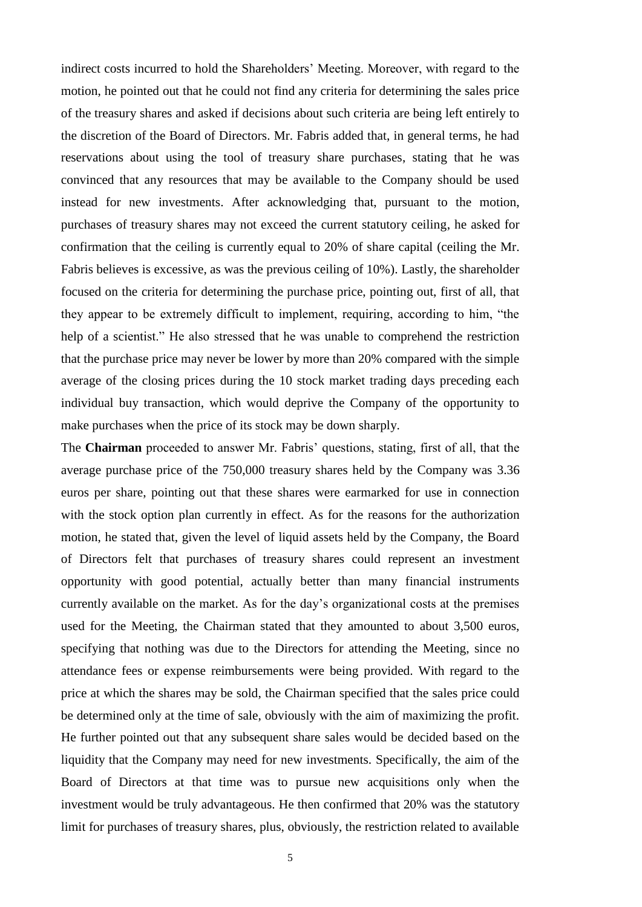indirect costs incurred to hold the Shareholders' Meeting. Moreover, with regard to the motion, he pointed out that he could not find any criteria for determining the sales price of the treasury shares and asked if decisions about such criteria are being left entirely to the discretion of the Board of Directors. Mr. Fabris added that, in general terms, he had reservations about using the tool of treasury share purchases, stating that he was convinced that any resources that may be available to the Company should be used instead for new investments. After acknowledging that, pursuant to the motion, purchases of treasury shares may not exceed the current statutory ceiling, he asked for confirmation that the ceiling is currently equal to 20% of share capital (ceiling the Mr. Fabris believes is excessive, as was the previous ceiling of 10%). Lastly, the shareholder focused on the criteria for determining the purchase price, pointing out, first of all, that they appear to be extremely difficult to implement, requiring, according to him, "the help of a scientist." He also stressed that he was unable to comprehend the restriction that the purchase price may never be lower by more than 20% compared with the simple average of the closing prices during the 10 stock market trading days preceding each individual buy transaction, which would deprive the Company of the opportunity to make purchases when the price of its stock may be down sharply.

The **Chairman** proceeded to answer Mr. Fabris' questions, stating, first of all, that the average purchase price of the 750,000 treasury shares held by the Company was 3.36 euros per share, pointing out that these shares were earmarked for use in connection with the stock option plan currently in effect. As for the reasons for the authorization motion, he stated that, given the level of liquid assets held by the Company, the Board of Directors felt that purchases of treasury shares could represent an investment opportunity with good potential, actually better than many financial instruments currently available on the market. As for the day's organizational costs at the premises used for the Meeting, the Chairman stated that they amounted to about 3,500 euros, specifying that nothing was due to the Directors for attending the Meeting, since no attendance fees or expense reimbursements were being provided. With regard to the price at which the shares may be sold, the Chairman specified that the sales price could be determined only at the time of sale, obviously with the aim of maximizing the profit. He further pointed out that any subsequent share sales would be decided based on the liquidity that the Company may need for new investments. Specifically, the aim of the Board of Directors at that time was to pursue new acquisitions only when the investment would be truly advantageous. He then confirmed that 20% was the statutory limit for purchases of treasury shares, plus, obviously, the restriction related to available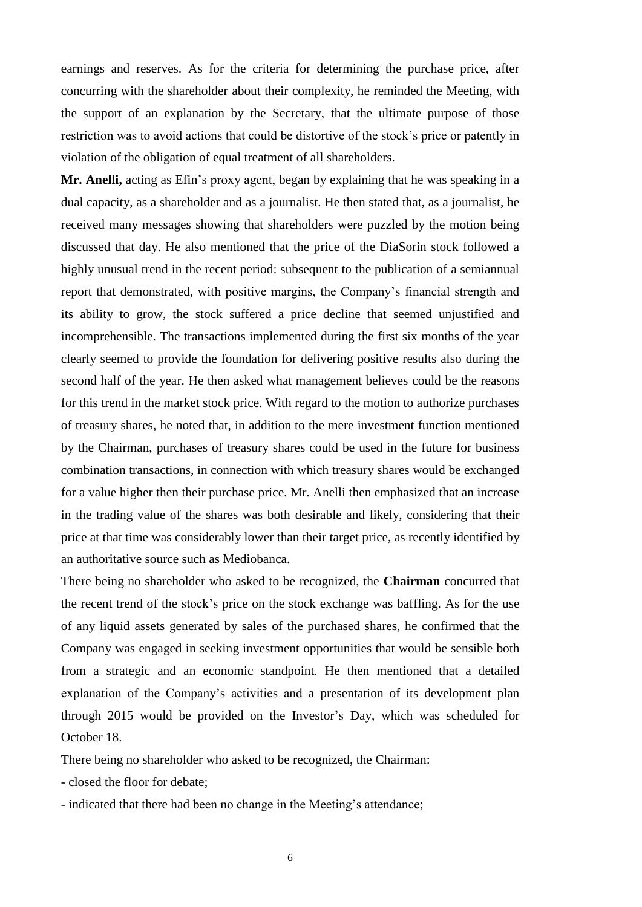earnings and reserves. As for the criteria for determining the purchase price, after concurring with the shareholder about their complexity, he reminded the Meeting, with the support of an explanation by the Secretary, that the ultimate purpose of those restriction was to avoid actions that could be distortive of the stock's price or patently in violation of the obligation of equal treatment of all shareholders.

**Mr. Anelli,** acting as Efin's proxy agent, began by explaining that he was speaking in a dual capacity, as a shareholder and as a journalist. He then stated that, as a journalist, he received many messages showing that shareholders were puzzled by the motion being discussed that day. He also mentioned that the price of the DiaSorin stock followed a highly unusual trend in the recent period: subsequent to the publication of a semiannual report that demonstrated, with positive margins, the Company's financial strength and its ability to grow, the stock suffered a price decline that seemed unjustified and incomprehensible. The transactions implemented during the first six months of the year clearly seemed to provide the foundation for delivering positive results also during the second half of the year. He then asked what management believes could be the reasons for this trend in the market stock price. With regard to the motion to authorize purchases of treasury shares, he noted that, in addition to the mere investment function mentioned by the Chairman, purchases of treasury shares could be used in the future for business combination transactions, in connection with which treasury shares would be exchanged for a value higher then their purchase price. Mr. Anelli then emphasized that an increase in the trading value of the shares was both desirable and likely, considering that their price at that time was considerably lower than their target price, as recently identified by an authoritative source such as Mediobanca.

There being no shareholder who asked to be recognized, the **Chairman** concurred that the recent trend of the stock's price on the stock exchange was baffling. As for the use of any liquid assets generated by sales of the purchased shares, he confirmed that the Company was engaged in seeking investment opportunities that would be sensible both from a strategic and an economic standpoint. He then mentioned that a detailed explanation of the Company's activities and a presentation of its development plan through 2015 would be provided on the Investor's Day, which was scheduled for October 18.

There being no shareholder who asked to be recognized, the Chairman:

- closed the floor for debate;

- indicated that there had been no change in the Meeting's attendance;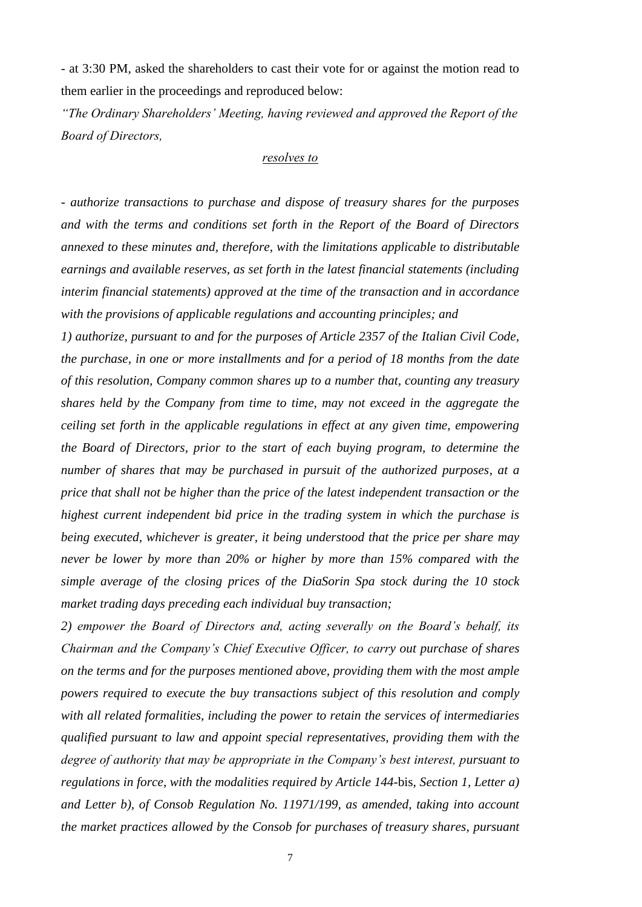- at 3:30 PM, asked the shareholders to cast their vote for or against the motion read to them earlier in the proceedings and reproduced below:

*"The Ordinary Shareholders' Meeting, having reviewed and approved the Report of the Board of Directors,*

## *resolves to*

*- authorize transactions to purchase and dispose of treasury shares for the purposes and with the terms and conditions set forth in the Report of the Board of Directors annexed to these minutes and, therefore, with the limitations applicable to distributable earnings and available reserves, as set forth in the latest financial statements (including interim financial statements) approved at the time of the transaction and in accordance with the provisions of applicable regulations and accounting principles; and*

*1) authorize, pursuant to and for the purposes of Article 2357 of the Italian Civil Code, the purchase, in one or more installments and for a period of 18 months from the date of this resolution, Company common shares up to a number that, counting any treasury shares held by the Company from time to time, may not exceed in the aggregate the ceiling set forth in the applicable regulations in effect at any given time, empowering the Board of Directors, prior to the start of each buying program, to determine the number of shares that may be purchased in pursuit of the authorized purposes, at a price that shall not be higher than the price of the latest independent transaction or the highest current independent bid price in the trading system in which the purchase is being executed, whichever is greater, it being understood that the price per share may never be lower by more than 20% or higher by more than 15% compared with the simple average of the closing prices of the DiaSorin Spa stock during the 10 stock market trading days preceding each individual buy transaction;*

*2) empower the Board of Directors and, acting severally on the Board's behalf, its Chairman and the Company's Chief Executive Officer, to carry out purchase of shares on the terms and for the purposes mentioned above, providing them with the most ample powers required to execute the buy transactions subject of this resolution and comply with all related formalities, including the power to retain the services of intermediaries qualified pursuant to law and appoint special representatives, providing them with the degree of authority that may be appropriate in the Company's best interest, pursuant to regulations in force, with the modalities required by Article 144-*bis, *Section 1, Letter a) and Letter b), of Consob Regulation No. 11971/199, as amended, taking into account the market practices allowed by the Consob for purchases of treasury shares, pursuant*